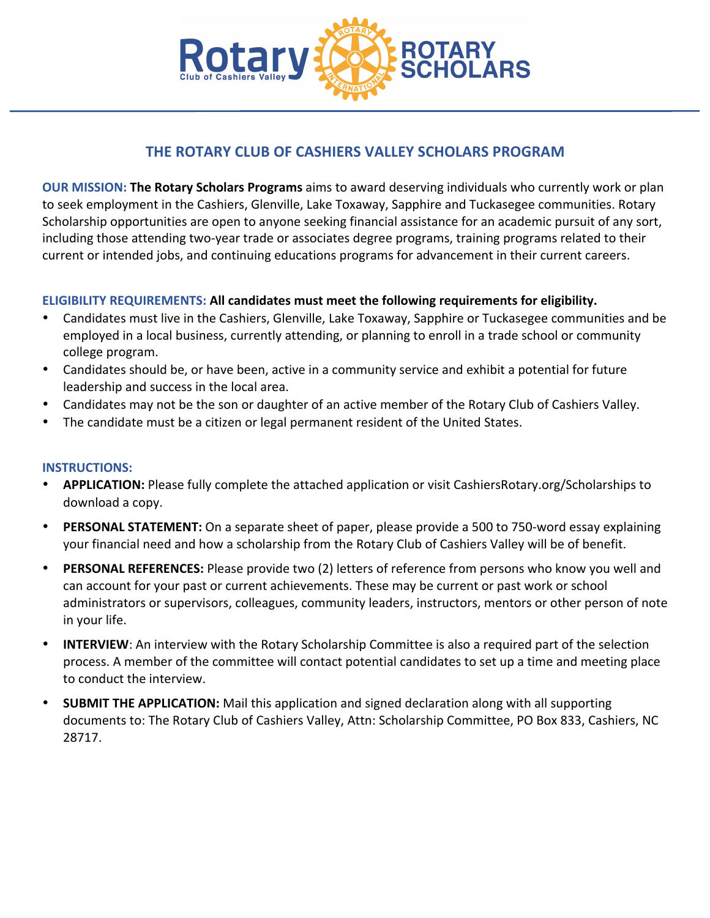

## **THE ROTARY CLUB OF CASHIERS VALLEY SCHOLARS PROGRAM**

**OUR MISSION: The Rotary Scholars Programs** aims to award deserving individuals who currently work or plan to seek employment in the Cashiers, Glenville, Lake Toxaway, Sapphire and Tuckasegee communities. Rotary Scholarship opportunities are open to anyone seeking financial assistance for an academic pursuit of any sort, including those attending two-year trade or associates degree programs, training programs related to their current or intended jobs, and continuing educations programs for advancement in their current careers.

#### **ELIGIBILITY REQUIREMENTS: All candidates must meet the following requirements for eligibility.**

- Candidates must live in the Cashiers, Glenville, Lake Toxaway, Sapphire or Tuckasegee communities and be employed in a local business, currently attending, or planning to enroll in a trade school or community college program.
- Candidates should be, or have been, active in a community service and exhibit a potential for future leadership and success in the local area.
- Candidates may not be the son or daughter of an active member of the Rotary Club of Cashiers Valley.
- The candidate must be a citizen or legal permanent resident of the United States.

#### **INSTRUCTIONS:**

- **APPLICATION:** Please fully complete the attached application or visit CashiersRotary.org/Scholarships to download a copy.
- **PERSONAL STATEMENT:** On a separate sheet of paper, please provide a 500 to 750-word essay explaining your financial need and how a scholarship from the Rotary Club of Cashiers Valley will be of benefit.
- **PERSONAL REFERENCES:** Please provide two (2) letters of reference from persons who know you well and can account for your past or current achievements. These may be current or past work or school administrators or supervisors, colleagues, community leaders, instructors, mentors or other person of note in your life.
- **INTERVIEW**: An interview with the Rotary Scholarship Committee is also a required part of the selection process. A member of the committee will contact potential candidates to set up a time and meeting place to conduct the interview.
- **SUBMIT THE APPLICATION:** Mail this application and signed declaration along with all supporting documents to: The Rotary Club of Cashiers Valley, Attn: Scholarship Committee, PO Box 833, Cashiers, NC 28717.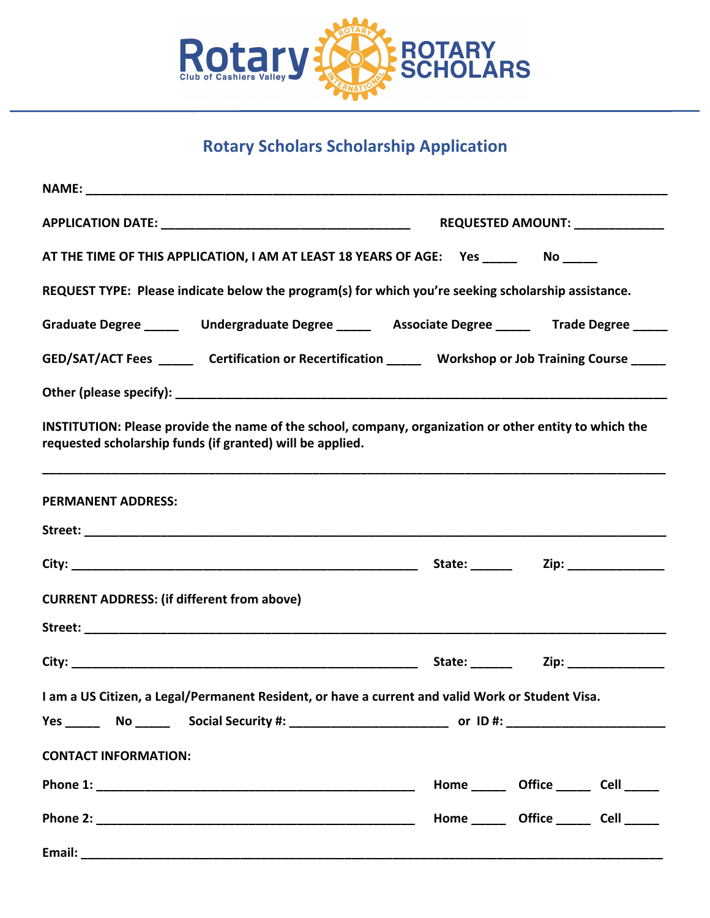

# **Rotary Scholars Scholarship Application**

| AT THE TIME OF THIS APPLICATION, I AM AT LEAST 18 YEARS OF AGE: Yes _________ No _____                                                                              |                                                                                                            |
|---------------------------------------------------------------------------------------------------------------------------------------------------------------------|------------------------------------------------------------------------------------------------------------|
| REQUEST TYPE: Please indicate below the program(s) for which you're seeking scholarship assistance.                                                                 |                                                                                                            |
|                                                                                                                                                                     | Graduate Degree _______  Undergraduate Degree _______  Associate Degree _______  Trade Degree _____        |
|                                                                                                                                                                     | GED/SAT/ACT Fees _________ Certification or Recertification ________ Workshop or Job Training Course _____ |
|                                                                                                                                                                     |                                                                                                            |
| INSTITUTION: Please provide the name of the school, company, organization or other entity to which the<br>requested scholarship funds (if granted) will be applied. |                                                                                                            |
| <b>PERMANENT ADDRESS:</b>                                                                                                                                           |                                                                                                            |
|                                                                                                                                                                     |                                                                                                            |
|                                                                                                                                                                     |                                                                                                            |
| <b>CURRENT ADDRESS: (if different from above)</b>                                                                                                                   |                                                                                                            |
|                                                                                                                                                                     |                                                                                                            |
|                                                                                                                                                                     |                                                                                                            |
| I am a US Citizen, a Legal/Permanent Resident, or have a current and valid Work or Student Visa.                                                                    |                                                                                                            |
|                                                                                                                                                                     |                                                                                                            |
| <b>CONTACT INFORMATION:</b>                                                                                                                                         |                                                                                                            |
|                                                                                                                                                                     | Home _______ Office _______ Cell ______                                                                    |
|                                                                                                                                                                     | Home ________ Office _______ Cell ______                                                                   |
|                                                                                                                                                                     |                                                                                                            |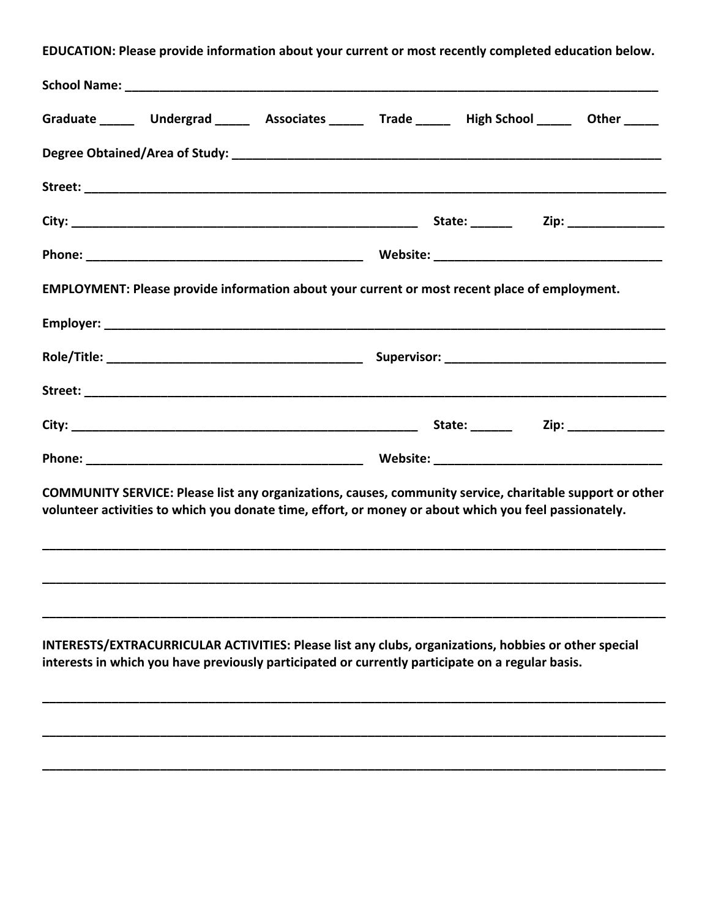EDUCATION: Please provide information about your current or most recently completed education below.

| Graduate _______ Undergrad ______ Associates ______ Trade ______ High School ______ Other _____                                                                                                                   |  |  |
|-------------------------------------------------------------------------------------------------------------------------------------------------------------------------------------------------------------------|--|--|
|                                                                                                                                                                                                                   |  |  |
|                                                                                                                                                                                                                   |  |  |
|                                                                                                                                                                                                                   |  |  |
|                                                                                                                                                                                                                   |  |  |
| EMPLOYMENT: Please provide information about your current or most recent place of employment.                                                                                                                     |  |  |
|                                                                                                                                                                                                                   |  |  |
|                                                                                                                                                                                                                   |  |  |
|                                                                                                                                                                                                                   |  |  |
|                                                                                                                                                                                                                   |  |  |
|                                                                                                                                                                                                                   |  |  |
| COMMUNITY SERVICE: Please list any organizations, causes, community service, charitable support or other<br>volunteer activities to which you donate time, effort, or money or about which you feel passionately. |  |  |
|                                                                                                                                                                                                                   |  |  |
|                                                                                                                                                                                                                   |  |  |
| INTERESTS/EXTRACURRICULAR ACTIVITIES: Please list any clubs, organizations, hobbies or other special<br>interests in which you have previously participated or currently participate on a regular basis.          |  |  |
|                                                                                                                                                                                                                   |  |  |
|                                                                                                                                                                                                                   |  |  |